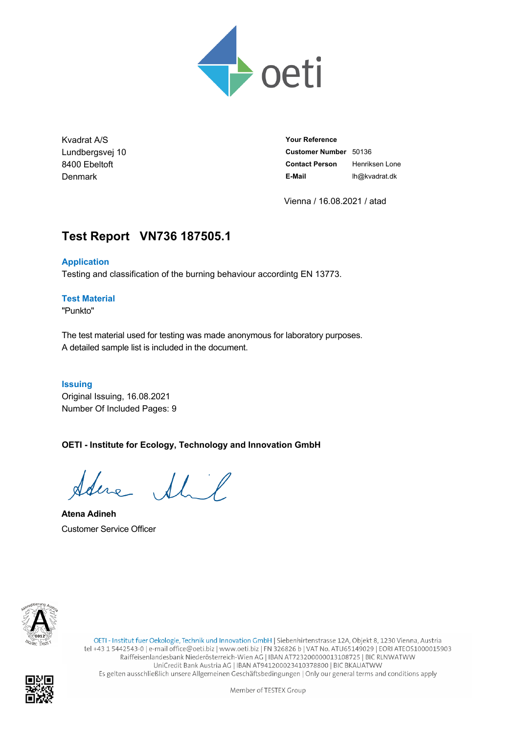

Kvadrat A/S Lundbergsvej 10 8400 Ebeltoft Denmark

**Your Reference Customer Number** 50136 **Contact Person** Henriksen Lone **E-Mail** lh@kvadrat.dk

Vienna / 16.08.2021 / atad

# **Test Report VN736.187505.1**

#### **Application**

Testing and classification of the burning behaviour accordintg EN 13773.

#### **Test Material**

"Punkto"

The test material used for testing was made anonymous for laboratory purposes. A detailed sample list is included in the document.

#### **Issuing**

Original Issuing, 16.08.2021 Number Of Included Pages: 9

### **OETI - Institute for Ecology, Technology and Innovation GmbH**

Idene Shil

**Atena Adineh** Customer Service Officer



OETI - Institut fuer Oekologie, Technik und Innovation GmbH | Siebenhirtenstrasse 12A, Objekt 8, 1230 Vienna, Austria tel +43 1 5442543-0 | e-mail office@oeti.biz | www.oeti.biz | FN 326826 b | VAT No. ATU65149029 | EORI ATEOS1000015903 Raiffeisenlandesbank Niederösterreich-Wien AG | IBAN AT723200000013108725 | BIC RLNWATWW UniCredit Bank Austria AG | IBAN AT941200023410378800 | BIC BKAUATWW Es gelten ausschließlich unsere Allgemeinen Geschäftsbedingungen | Only our general terms and conditions apply

Member of TESTEX Group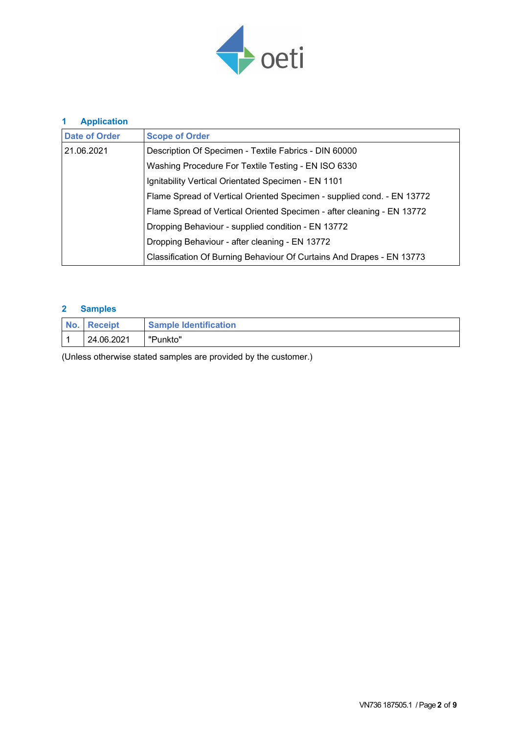

| <b>Application</b><br>1 |                                                                        |
|-------------------------|------------------------------------------------------------------------|
| <b>Date of Order</b>    | <b>Scope of Order</b>                                                  |
| 21.06.2021              | Description Of Specimen - Textile Fabrics - DIN 60000                  |
|                         | Washing Procedure For Textile Testing - EN ISO 6330                    |
|                         | Ignitability Vertical Orientated Specimen - EN 1101                    |
|                         | Flame Spread of Vertical Oriented Specimen - supplied cond. - EN 13772 |
|                         | Flame Spread of Vertical Oriented Specimen - after cleaning - EN 13772 |
|                         | Dropping Behaviour - supplied condition - EN 13772                     |
|                         | Dropping Behaviour - after cleaning - EN 13772                         |
|                         | Classification Of Burning Behaviour Of Curtains And Drapes - EN 13773  |

### **2 Samples**

| No. Receipt | <b>Sample Identification</b> |
|-------------|------------------------------|
| 24.06.2021  | "Punkto"                     |

(Unless otherwise stated samples are provided by the customer.)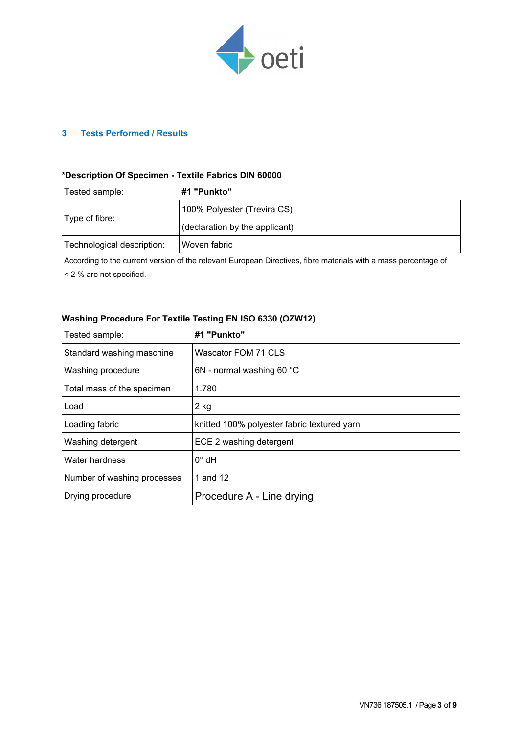

#### **3 Tests Performed / Results**

#### **\*Description Of Specimen - Textile Fabrics DIN 60000**

| Tested sample:             | #1 "Punkto"                    |
|----------------------------|--------------------------------|
|                            | 100% Polyester (Trevira CS)    |
| Type of fibre:             | (declaration by the applicant) |
| Technological description: | Woven fabric                   |

According to the current version of the relevant European Directives, fibre materials with a mass percentage of

< 2 % are not specified.

#### **Washing Procedure For Textile Testing EN ISO 6330 (OZW12)**

| Tested sample:              | #1 "Punkto"                                 |
|-----------------------------|---------------------------------------------|
| Standard washing maschine   | Wascator FOM 71 CLS                         |
| Washing procedure           | 6N - normal washing 60 °C                   |
| Total mass of the specimen  | 1.780                                       |
| Load                        | $2$ kg                                      |
| Loading fabric              | knitted 100% polyester fabric textured yarn |
| Washing detergent           | ECE 2 washing detergent                     |
| Water hardness              | $0^{\circ}$ dH                              |
| Number of washing processes | 1 and 12                                    |
| Drying procedure            | Procedure A - Line drying                   |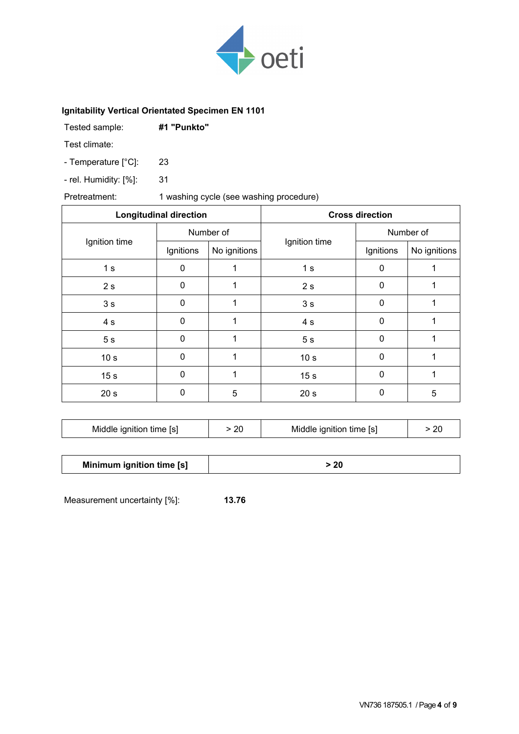

### **Ignitability Vertical Orientated Specimen EN 1101**

| Tested sample: | #1 "Punkto" |
|----------------|-------------|
|                |             |

Test climate:

- Temperature [°C]: 23

- rel. Humidity: [%]: 31

### Pretreatment: 1 washing cycle (see washing procedure)

|                 | <b>Longitudinal direction</b> |              |                 | <b>Cross direction</b> |              |
|-----------------|-------------------------------|--------------|-----------------|------------------------|--------------|
|                 | Number of                     |              |                 | Number of              |              |
| Ignition time   | Ignitions                     | No ignitions | Ignition time   | Ignitions              | No ignitions |
| 1 <sub>s</sub>  | 0                             |              | 1 <sub>s</sub>  | $\Omega$               |              |
| 2s              | $\pmb{0}$                     |              | 2s              | $\mathbf 0$            | 1            |
| 3 <sub>s</sub>  | 0                             |              | 3 <sub>s</sub>  | 0                      |              |
| 4 s             | $\mathbf 0$                   | 1            | 4 s             | $\Omega$               | 1            |
| 5 <sub>s</sub>  | $\mathbf 0$                   | 1            | 5 <sub>s</sub>  | $\mathbf 0$            | 1            |
| 10 <sub>s</sub> | $\mathbf 0$                   |              | 10 <sub>s</sub> | $\Omega$               |              |
| 15 <sub>s</sub> | $\mathbf 0$                   | 1            | 15 <sub>s</sub> | $\Omega$               | 1            |
| 20 <sub>s</sub> | 0                             | 5            | 20 <sub>s</sub> | $\Omega$               | 5            |

| Middle ignition time [s] | > 20 | Middle ignition time [s] | > 20 |
|--------------------------|------|--------------------------|------|
|                          |      |                          |      |

| Minimum ignition time [s] | > 20 |
|---------------------------|------|
|                           |      |

Measurement uncertainty [%]: **13.76**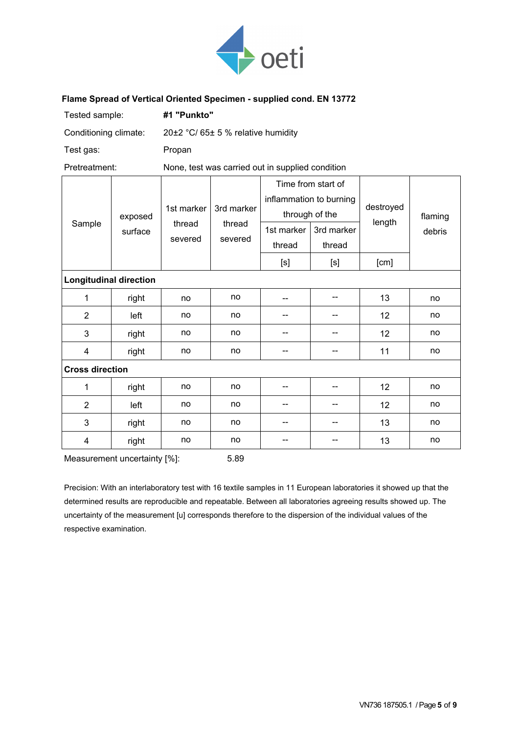

#### **Flame Spread of Vertical Oriented Specimen - supplied cond. EN 13772**

| Tested sample:                |         | #1 "Punkto"                        |                                                  |                                                                                                                                                                                                                                                                                                                                                                                                                                                                                                                                                                                                                                                                    |                          |           |         |  |
|-------------------------------|---------|------------------------------------|--------------------------------------------------|--------------------------------------------------------------------------------------------------------------------------------------------------------------------------------------------------------------------------------------------------------------------------------------------------------------------------------------------------------------------------------------------------------------------------------------------------------------------------------------------------------------------------------------------------------------------------------------------------------------------------------------------------------------------|--------------------------|-----------|---------|--|
| Conditioning climate:         |         | 20±2 °C/ 65± 5 % relative humidity |                                                  |                                                                                                                                                                                                                                                                                                                                                                                                                                                                                                                                                                                                                                                                    |                          |           |         |  |
| Test gas:                     |         | Propan                             |                                                  |                                                                                                                                                                                                                                                                                                                                                                                                                                                                                                                                                                                                                                                                    |                          |           |         |  |
| Pretreatment:                 |         |                                    | None, test was carried out in supplied condition |                                                                                                                                                                                                                                                                                                                                                                                                                                                                                                                                                                                                                                                                    |                          |           |         |  |
|                               | exposed | 1st marker                         | 3rd marker                                       | Time from start of<br>inflammation to burning<br>through of the                                                                                                                                                                                                                                                                                                                                                                                                                                                                                                                                                                                                    |                          | destroyed | flaming |  |
| Sample                        | surface | thread                             | thread                                           | 1st marker                                                                                                                                                                                                                                                                                                                                                                                                                                                                                                                                                                                                                                                         | 3rd marker               | length    | debris  |  |
|                               |         | severed                            | severed                                          | thread                                                                                                                                                                                                                                                                                                                                                                                                                                                                                                                                                                                                                                                             | thread                   |           |         |  |
|                               |         |                                    |                                                  | $[s] % \begin{center} % \includegraphics[width=\linewidth]{imagesSupplemental_3.png} % \end{center} % \caption { % \textit{DefNet} of the \textit{DefNet} dataset. % Note that the \textit{DefNet} and \textit{DefNet} dataset. % Note that the \textit{DefNet} and \textit{DefNet} dataset. % Note that the \textit{DefNet} and \textit{DefNet} dataset. % Note that the \textit{DefNet} and \textit{DefNet} dataset. % Note that the \textit{DefNet} and \textit{DefNet} dataset. % Note that the \textit{DefNet} and \textit{DefNet} dataset. % Note that the \textit{DefNet} and \textit{DefNet} dataset. % Note that the \textit{DefNet} and \textit{DefNet}$ | [s]                      | [cm]      |         |  |
| <b>Longitudinal direction</b> |         |                                    |                                                  |                                                                                                                                                                                                                                                                                                                                                                                                                                                                                                                                                                                                                                                                    |                          |           |         |  |
| 1                             | right   | no                                 | no                                               | --                                                                                                                                                                                                                                                                                                                                                                                                                                                                                                                                                                                                                                                                 | $-$                      | 13        | no      |  |
| $\overline{2}$                | left    | no                                 | no                                               | --                                                                                                                                                                                                                                                                                                                                                                                                                                                                                                                                                                                                                                                                 | --                       | 12        | no      |  |
| 3                             | right   | no                                 | no                                               | --                                                                                                                                                                                                                                                                                                                                                                                                                                                                                                                                                                                                                                                                 | --                       | 12        | no      |  |
| 4                             | right   | no                                 | no                                               | --                                                                                                                                                                                                                                                                                                                                                                                                                                                                                                                                                                                                                                                                 | --                       | 11        | no      |  |
| <b>Cross direction</b>        |         |                                    |                                                  |                                                                                                                                                                                                                                                                                                                                                                                                                                                                                                                                                                                                                                                                    |                          |           |         |  |
| 1                             | right   | no                                 | no                                               | --                                                                                                                                                                                                                                                                                                                                                                                                                                                                                                                                                                                                                                                                 | $\overline{\phantom{a}}$ | 12        | no      |  |
| $\overline{2}$                | left    | no                                 | no                                               | --                                                                                                                                                                                                                                                                                                                                                                                                                                                                                                                                                                                                                                                                 | --                       | 12        | no      |  |
| 3                             | right   | no                                 | no                                               | --                                                                                                                                                                                                                                                                                                                                                                                                                                                                                                                                                                                                                                                                 | --                       | 13        | no      |  |
| 4                             | right   | no                                 | no                                               | --                                                                                                                                                                                                                                                                                                                                                                                                                                                                                                                                                                                                                                                                 | --                       | 13        | no      |  |

Measurement uncertainty [%]: 5.89

Precision: With an interlaboratory test with 16 textile samples in 11 European laboratories it showed up that the determined results are reproducible and repeatable. Between all laboratories agreeing results showed up. The uncertainty of the measurement [u] corresponds therefore to the dispersion of the individual values of the respective examination.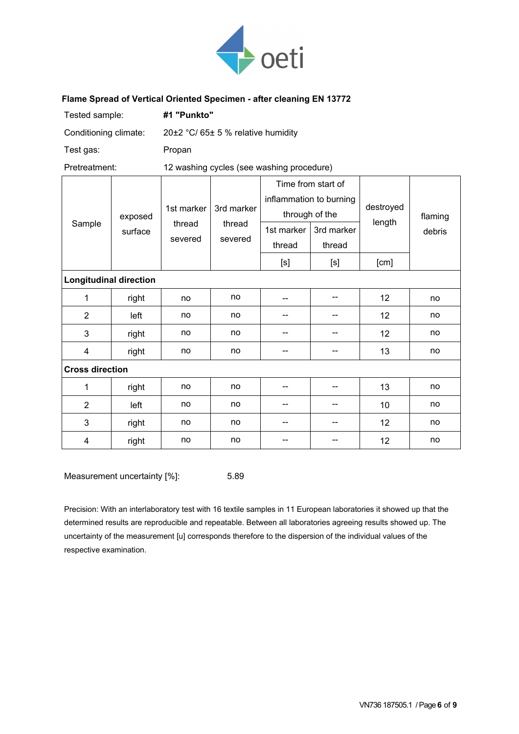

#### **Flame Spread of Vertical Oriented Specimen - after cleaning EN 13772**

| Tested sample:                |         | #1 "Punkto"                        |                                           |                                                                 |            |                     |         |  |
|-------------------------------|---------|------------------------------------|-------------------------------------------|-----------------------------------------------------------------|------------|---------------------|---------|--|
| Conditioning climate:         |         | 20±2 °C/ 65± 5 % relative humidity |                                           |                                                                 |            |                     |         |  |
| Test gas:                     |         | Propan                             |                                           |                                                                 |            |                     |         |  |
| Pretreatment:                 |         |                                    | 12 washing cycles (see washing procedure) |                                                                 |            |                     |         |  |
| Sample                        | exposed | 1st marker<br>thread               | 3rd marker<br>thread                      | Time from start of<br>inflammation to burning<br>through of the |            | destroyed<br>length | flaming |  |
|                               | surface | severed                            | severed                                   | 1st marker                                                      | 3rd marker |                     | debris  |  |
|                               |         |                                    |                                           | thread                                                          | thread     |                     |         |  |
|                               |         |                                    |                                           | [s]                                                             | [s]        | [cm]                |         |  |
| <b>Longitudinal direction</b> |         |                                    |                                           |                                                                 |            |                     |         |  |
| 1                             | right   | no                                 | no                                        |                                                                 | --         | 12                  | no      |  |
| $\overline{2}$                | left    | no                                 | no                                        |                                                                 | --         | 12                  | no      |  |
| 3                             | right   | no                                 | no                                        | --                                                              |            | 12                  | no      |  |
| 4                             | right   | no                                 | no                                        |                                                                 |            | 13                  | no      |  |
| <b>Cross direction</b>        |         |                                    |                                           |                                                                 |            |                     |         |  |
| 1                             | right   | no                                 | no                                        |                                                                 | --         | 13                  | no      |  |
| $\overline{2}$                | left    | no                                 | no                                        | --                                                              | --         | 10                  | no      |  |
| 3                             | right   | no                                 | no                                        |                                                                 | --         | 12                  | no      |  |
| 4                             | right   | no                                 | no                                        |                                                                 |            | 12                  | no      |  |

Measurement uncertainty [%]: 5.89

Precision: With an interlaboratory test with 16 textile samples in 11 European laboratories it showed up that the determined results are reproducible and repeatable. Between all laboratories agreeing results showed up. The uncertainty of the measurement [u] corresponds therefore to the dispersion of the individual values of the respective examination.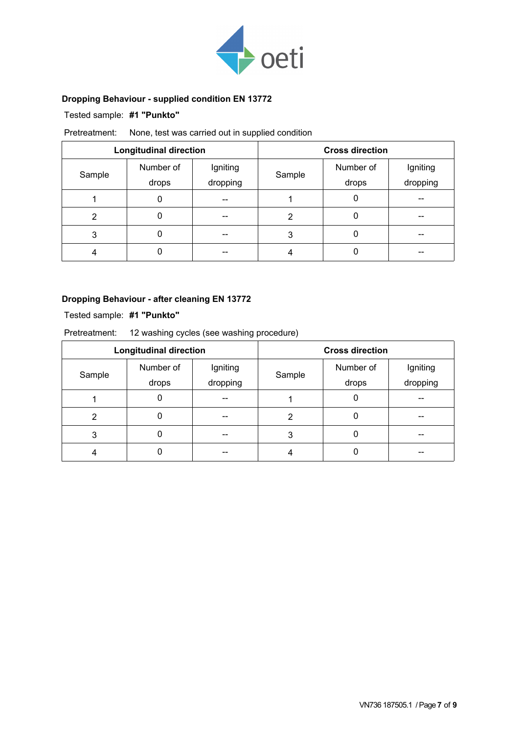

## **Dropping Behaviour - supplied condition EN 13772**

### Tested sample: **#1 "Punkto"**

### Pretreatment: None, test was carried out in supplied condition

|        | <b>Longitudinal direction</b> |          |        | <b>Cross direction</b> |          |
|--------|-------------------------------|----------|--------|------------------------|----------|
|        | Number of                     | Igniting | Sample | Number of              | Igniting |
| Sample | drops                         | dropping |        | drops                  | dropping |
|        | 0                             | --       |        | 0                      | --       |
| 2      |                               | --       | 2      |                        | --       |
| 3      |                               | --       | 3      |                        | --       |
|        |                               | --       |        |                        |          |

#### **Dropping Behaviour - after cleaning EN 13772**

Tested sample: **#1 "Punkto"**

| Pretreatment:<br>12 washing cycles (see washing procedure) |           |          |        |                        |          |  |
|------------------------------------------------------------|-----------|----------|--------|------------------------|----------|--|
| <b>Longitudinal direction</b>                              |           |          |        | <b>Cross direction</b> |          |  |
|                                                            | Number of | Igniting |        | Number of              | Igniting |  |
| Sample                                                     | drops     | dropping | Sample | drops                  | dropping |  |
|                                                            | 0         |          |        |                        |          |  |
| 2                                                          | 0         |          | 2      |                        |          |  |
| 3                                                          |           |          | 3      |                        |          |  |
|                                                            |           |          |        |                        |          |  |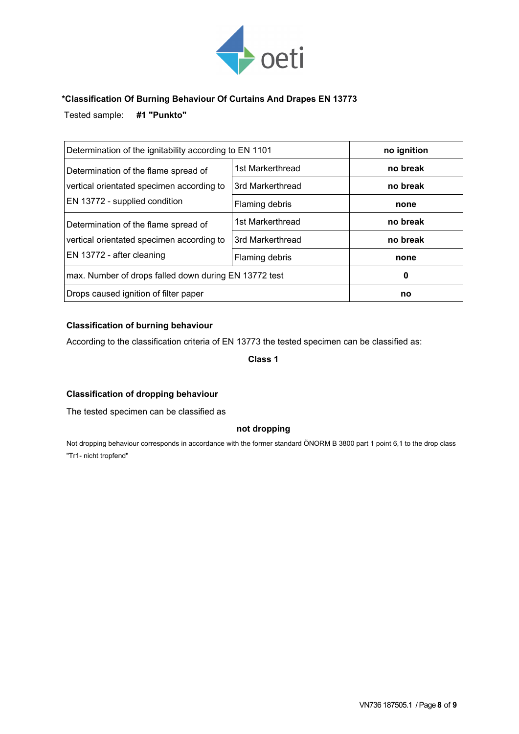

#### **\*Classification Of Burning Behaviour Of Curtains And Drapes EN 13773**

Tested sample: **#1 "Punkto"**

| Determination of the ignitability according to EN 1101                                                             |                  | no ignition |
|--------------------------------------------------------------------------------------------------------------------|------------------|-------------|
| Determination of the flame spread of<br>vertical orientated specimen according to<br>EN 13772 - supplied condition | 1st Markerthread | no break    |
|                                                                                                                    | 3rd Markerthread | no break    |
|                                                                                                                    | Flaming debris   | none        |
| Determination of the flame spread of<br>vertical orientated specimen according to<br>EN 13772 - after cleaning     | 1st Markerthread | no break    |
|                                                                                                                    | 3rd Markerthread | no break    |
|                                                                                                                    | Flaming debris   | none        |
| max. Number of drops falled down during EN 13772 test                                                              |                  | 0           |
| Drops caused ignition of filter paper                                                                              |                  | no          |

#### **Classification of burning behaviour**

According to the classification criteria of EN 13773 the tested specimen can be classified as:

**Class 1**

#### **Classification of dropping behaviour**

The tested specimen can be classified as

#### **not dropping**

Not dropping behaviour corresponds in accordance with the former standard ÖNORM B 3800 part 1 point 6,1 to the drop class "Tr1- nicht tropfend"